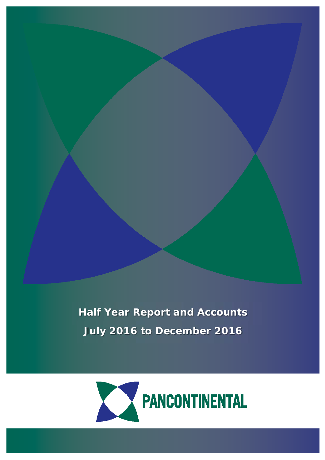**Half Year Report and Accounts July 2016 to December 2016**



1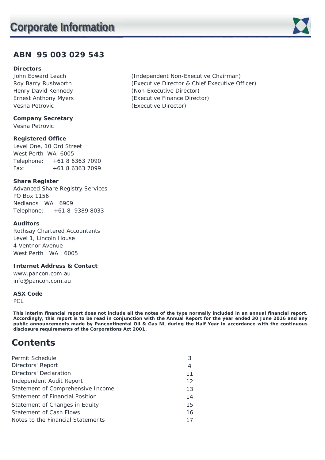## **ABN 95 003 029 543**

### **Directors**

Vesna Petrovic (Executive Director)

**Company Secretary**  Vesna Petrovic

### **Registered Office**

Level One, 10 Ord Street West Perth WA 6005 Telephone: +61 8 6363 7090 Fax: +61 8 6363 7099

### **Share Register**

Advanced Share Registry Services PO Box 1156 Nedlands WA 6909 Telephone: +61 8 9389 8033

### **Auditors**

Rothsay Chartered Accountants Level 1, Lincoln House 4 Ventnor Avenue West Perth WA 6005

### **Internet Address & Contact**

www.pancon.com.au info@pancon.com.au

#### **ASX Code**

PCL

**This interim financial report does not include all the notes of the type normally included in an annual financial report. Accordingly, this report is to be read in conjunction with the Annual Report for the year ended 30 June 2016 and any public announcements made by Pancontinental Oil & Gas NL during the Half Year in accordance with the continuous disclosure requirements of the Corporations Act 2001.** 

## **Contents**

| Permit Schedule                   | 3              |
|-----------------------------------|----------------|
| Directors' Report                 | $\overline{4}$ |
| Directors' Declaration            | 11             |
| Independent Audit Report          | 12             |
| Statement of Comprehensive Income | 13             |
| Statement of Financial Position   | 14             |
| Statement of Changes in Equity    | 15             |
| Statement of Cash Flows           | 16             |
| Notes to the Financial Statements | 17             |

John Edward Leach (Independent Non-Executive Chairman) Roy Barry Rushworth (Executive Director & Chief Executive Officer) Henry David Kennedy **Executive Contact (Non-Executive Director)** Ernest Anthony Myers (Executive Finance Director)

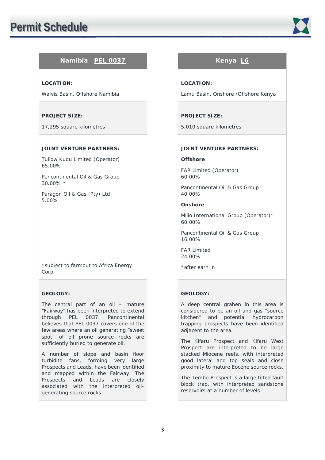

### **Namibia PEL 0037 Kenya L6**

#### **LOCATION:**

Walvis Basin, Offshore Namibia

#### **PROJECT SIZE:**

17,295 square kilometres

#### **JOINT VENTURE PARTNERS:**

Tullow Kudu Limited (Operator) 65.00%

Pancontinental Oil & Gas Group 30.00% \*

Paragon Oil & Gas (Pty) Ltd 5.00%

\*subject to farmout to Africa Energy Corp.

#### **GEOLOGY:**

The central part of an oil – mature "Fairway" has been interpreted to extend through PEL 0037. Pancontinental believes that PEL 0037 covers one of the few areas where an oil generating "sweet spot" of oil prone source rocks are sufficiently buried to generate oil.

A number of slope and basin floor turbidite fans, forming very large Prospects and Leads, have been identified and mapped within the Fairway. The Prospects and Leads are closely associated with the interpreted oilgenerating source rocks.

#### **LOCATION:**

Lamu Basin, Onshore /Offshore Kenya

#### **PROJECT SIZE:**

5,010 square kilometres

#### **JOINT VENTURE PARTNERS:**

#### **Offshore**

FAR Limited (Operator) 60.00%

Pancontinental Oil & Gas Group 40.00%

#### **Onshore**

Milio International Group (Operator)\* 60.00%

Pancontinental Oil & Gas Group 16.00%

FAR Limited 24.00%

\*after earn in

#### **GEOLOGY:**

A deep central graben in this area is considered to be an oil and gas "source kitchen" and potential hydrocarbon trapping prospects have been identified adjacent to the area.

The Kifaru Prospect and Kifaru West Prospect are interpreted to be large stacked Miocene reefs, with interpreted good lateral and top seals and close proximity to mature Eocene source rocks.

The Tembo Prospect is a large tilted fault block trap, with interpreted sandstone reservoirs at a number of levels.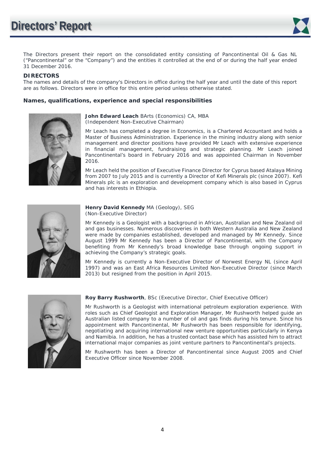

The Directors present their report on the consolidated entity consisting of Pancontinental Oil & Gas NL ("Pancontinental" or the "Company") and the entities it controlled at the end of or during the half year ended 31 December 2016.

**DIRECTORS** The names and details of the company's Directors in office during the half year and until the date of this report are as follows. Directors were in office for this entire period unless otherwise stated.

#### **Names, qualifications, experience and special responsibilities**



**John Edward Leach** BArts (Economics) CA, MBA (Independent Non-Executive Chairman)

Mr Leach has completed a degree in Economics, is a Chartered Accountant and holds a Master of Business Administration. Experience in the mining industry along with senior management and director positions have provided Mr Leach with extensive experience in financial management, fundraising and strategic planning. Mr Leach joined Pancontinental's board in February 2016 and was appointed Chairman in November 2016.

Mr Leach held the position of Executive Finance Director for Cyprus based Atalaya Mining from 2007 to July 2015 and is currently a Director of Kefi Minerals plc (since 2007). Kefi Minerals plc is an exploration and development company which is also based in Cyprus and has interests in Ethiopia.



#### **Henry David Kennedy** MA (Geology), SEG (Non-Executive Director)

Mr Kennedy is a Geologist with a background in African, Australian and New Zealand oil and gas businesses. Numerous discoveries in both Western Australia and New Zealand were made by companies established, developed and managed by Mr Kennedy. Since August 1999 Mr Kennedy has been a Director of Pancontinental, with the Company benefiting from Mr Kennedy's broad knowledge base through ongoing support in achieving the Company's strategic goals.

Mr Kennedy is currently a Non-Executive Director of Norwest Energy NL (since April 1997) and was an East Africa Resources Limited Non-Executive Director (since March 2013) but resigned from the position in April 2015.



#### **Roy Barry Rushworth**, BSc (Executive Director, Chief Executive Officer)

Mr Rushworth is a Geologist with international petroleum exploration experience. With roles such as Chief Geologist and Exploration Manager, Mr Rushworth helped guide an Australian listed company to a number of oil and gas finds during his tenure. Since his appointment with Pancontinental, Mr Rushworth has been responsible for identifying, negotiating and acquiring international new venture opportunities particularly in Kenya and Namibia. In addition, he has a trusted contact base which has assisted him to attract international major companies as joint venture partners to Pancontinental's projects.

Mr Rushworth has been a Director of Pancontinental since August 2005 and Chief Executive Officer since November 2008.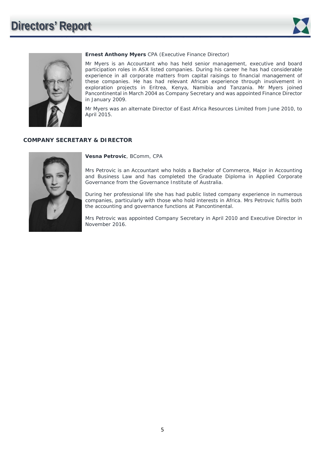



#### **Ernest Anthony Myers** CPA (Executive Finance Director)

Mr Myers is an Accountant who has held senior management, executive and board participation roles in ASX listed companies. During his career he has had considerable experience in all corporate matters from capital raisings to financial management of these companies. He has had relevant African experience through involvement in exploration projects in Eritrea, Kenya, Namibia and Tanzania. Mr Myers joined Pancontinental in March 2004 as Company Secretary and was appointed Finance Director in January 2009.

Mr Myers was an alternate Director of East Africa Resources Limited from June 2010, to April 2015.

### **COMPANY SECRETARY & DIRECTOR**



**Vesna Petrovic**, BComm, CPA

Mrs Petrovic is an Accountant who holds a Bachelor of Commerce, Major in Accounting and Business Law and has completed the Graduate Diploma in Applied Corporate Governance from the Governance Institute of Australia.

During her professional life she has had public listed company experience in numerous companies, particularly with those who hold interests in Africa. Mrs Petrovic fulfils both the accounting and governance functions at Pancontinental.

Mrs Petrovic was appointed Company Secretary in April 2010 and Executive Director in November 2016.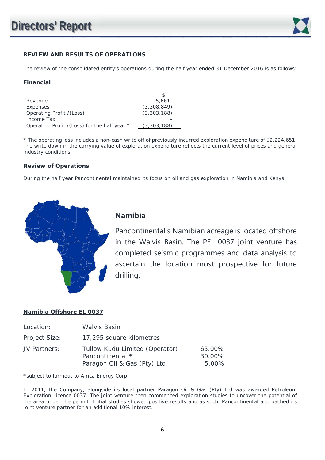

### **REVIEW AND RESULTS OF OPERATIONS**

The review of the consolidated entity's operations during the half year ended 31 December 2016 is as follows:

#### **Financial**

| Revenue                                       | 5.661       |
|-----------------------------------------------|-------------|
| Expenses                                      | (3,308,849) |
| Operating Profit / (Loss)                     | (3,303,188) |
| Income Tax                                    |             |
| Operating Profit / (Loss) for the half year * | (3,303,188) |

| Revenue                                      | 5,661       |
|----------------------------------------------|-------------|
| Expenses                                     | (3,308,849) |
| Operating Profit /(Loss)                     | (3,303,188) |
| Income Tax                                   |             |
| Operating Profit /(Loss) for the half year * | (3,303,188) |
|                                              |             |

\* The operating loss includes a non-cash write off of previously incurred exploration expenditure of \$2,224,651. The write down in the carrying value of exploration expenditure reflects the current level of prices and general industry conditions.

#### **Review of Operations**

During the half year Pancontinental maintained its focus on oil and gas exploration in Namibia and Kenya.



### **Namibia**

Pancontinental's Namibian acreage is located offshore in the Walvis Basin. The PEL 0037 joint venture has completed seismic programmes and data analysis to ascertain the location most prospective for future drilling.

### **Namibia Offshore EL 0037**

| Location:     | Walvis Basin                                                                      |                           |
|---------------|-----------------------------------------------------------------------------------|---------------------------|
| Project Size: | 17,295 square kilometres                                                          |                           |
| JV Partners:  | Tullow Kudu Limited (Operator)<br>Pancontinental *<br>Paragon Oil & Gas (Pty) Ltd | 65.00%<br>30.00%<br>5.00% |

\*subject to farmout to Africa Energy Corp.

In 2011, the Company, alongside its local partner Paragon Oil & Gas (Pty) Ltd was awarded Petroleum Exploration Licence 0037. The joint venture then commenced exploration studies to uncover the potential of the area under the permit. Initial studies showed positive results and as such, Pancontinental approached its joint venture partner for an additional 10% interest.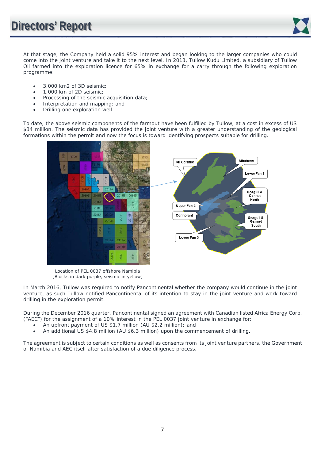

At that stage, the Company held a solid 95% interest and began looking to the larger companies who could come into the joint venture and take it to the next level. In 2013, Tullow Kudu Limited, a subsidiary of Tullow Oil farmed into the exploration licence for 65% in exchange for a carry through the following exploration programme:

- 3,000 km2 of 3D seismic;
- 1,000 km of 2D seismic;
- Processing of the seismic acquisition data;
- Interpretation and mapping; and
- Drilling one exploration well.

To date, the above seismic components of the farmout have been fulfilled by Tullow, at a cost in excess of US \$34 million. The seismic data has provided the joint venture with a greater understanding of the geological formations within the permit and now the focus is toward identifying prospects suitable for drilling.



 Location of PEL 0037 offshore Namibia [Blocks in dark purple, seismic in yellow]

In March 2016, Tullow was required to notify Pancontinental whether the company would continue in the joint venture, as such Tullow notified Pancontinental of its intention to stay in the joint venture and work toward drilling in the exploration permit.

During the December 2016 quarter, Pancontinental signed an agreement with Canadian listed Africa Energy Corp. ("AEC") for the assignment of a 10% interest in the PEL 0037 joint venture in exchange for:

- An upfront payment of US \$1.7 million (AU \$2.2 million); and
- An additional US \$4.8 million (AU \$6.3 million) upon the commencement of drilling.

The agreement is subject to certain conditions as well as consents from its joint venture partners, the Government of Namibia and AEC itself after satisfaction of a due diligence process.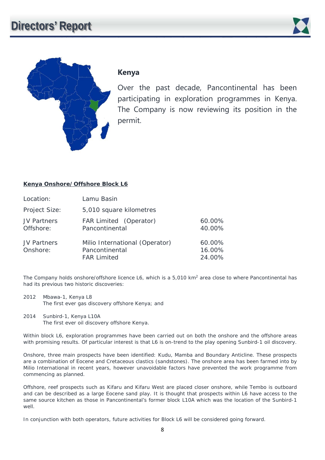



### **Kenya**

Over the past decade, Pancontinental has been participating in exploration programmes in Kenya. The Company is now reviewing its position in the permit.

### **Kenya Onshore/Offshore Block L6**

| Location:                       | Lamu Basin                                                             |                            |
|---------------------------------|------------------------------------------------------------------------|----------------------------|
| Project Size:                   | 5,010 square kilometres                                                |                            |
| <b>JV Partners</b><br>Offshore: | FAR Limited (Operator)<br>Pancontinental                               | 60.00%<br>40.00%           |
| <b>JV Partners</b><br>Onshore:  | Milio International (Operator)<br>Pancontinental<br><b>FAR Limited</b> | 60.00%<br>16.00%<br>24.00% |

The Company holds onshore/offshore licence L6, which is a 5,010 km<sup>2</sup> area close to where Pancontinental has had its previous two historic discoveries:

- 2012 Mbawa-1, Kenya L8 The first ever gas discovery offshore Kenya; and
- 2014 Sunbird-1, Kenya L10A The first ever oil discovery offshore Kenya.

Within block L6, exploration programmes have been carried out on both the onshore and the offshore areas with promising results. Of particular interest is that L6 is on-trend to the play opening Sunbird-1 oil discovery.

Onshore, three main prospects have been identified: Kudu, Mamba and Boundary Anticline. These prospects are a combination of Eocene and Cretaceous clastics (sandstones). The onshore area has been farmed into by Milio International in recent years, however unavoidable factors have prevented the work programme from commencing as planned.

Offshore, reef prospects such as Kifaru and Kifaru West are placed closer onshore, while Tembo is outboard and can be described as a large Eocene sand play. It is thought that prospects within L6 have access to the same source kitchen as those in Pancontinental's former block L10A which was the location of the Sunbird-1 well.

In conjunction with both operators, future activities for Block L6 will be considered going forward.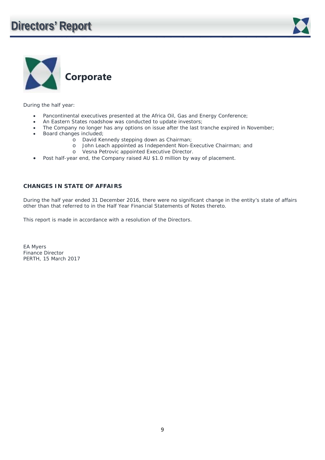



During the half year:

- Pancontinental executives presented at the Africa Oil, Gas and Energy Conference;
- An Eastern States roadshow was conducted to update investors;
- The Company no longer has any options on issue after the last tranche expired in November;
- Board changes included;
	- o David Kennedy stepping down as Chairman;
	- o John Leach appointed as Independent Non-Executive Chairman; and
	- o Vesna Petrovic appointed Executive Director.
- Post half-year end, the Company raised AU \$1.0 million by way of placement.

### **CHANGES IN STATE OF AFFAIRS**

During the half year ended 31 December 2016, there were no significant change in the entity's state of affairs other than that referred to in the Half Year Financial Statements of Notes thereto.

This report is made in accordance with a resolution of the Directors.

EA Myers Finance Director PERTH, 15 March 2017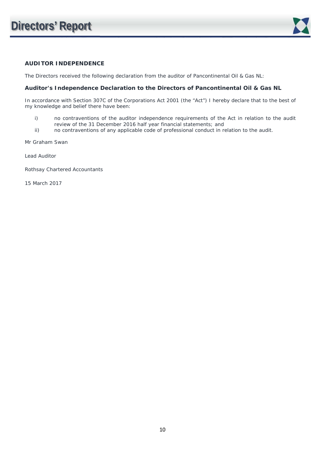

### **AUDITOR INDEPENDENCE**

The Directors received the following declaration from the auditor of Pancontinental Oil & Gas NL:

#### **Auditor's Independence Declaration to the Directors of Pancontinental Oil & Gas NL**

In accordance with Section 307C of the Corporations Act 2001 (the "Act") I hereby declare that to the best of my knowledge and belief there have been:

- i) no contraventions of the auditor independence requirements of the Act in relation to the audit review of the 31 December 2016 half year financial statements; and
- ii) no contraventions of any applicable code of professional conduct in relation to the audit.

Mr Graham Swan

Lead Auditor

Rothsay Chartered Accountants

15 March 2017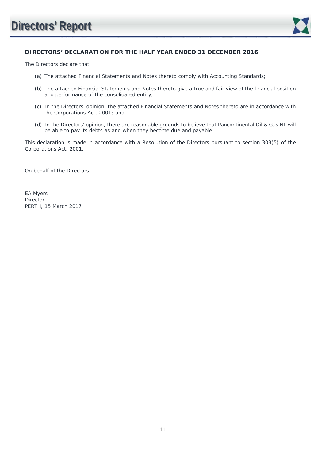

### **DIRECTORS' DECLARATION FOR THE HALF YEAR ENDED 31 DECEMBER 2016**

The Directors declare that:

- (a) The attached Financial Statements and Notes thereto comply with Accounting Standards;
- (b) The attached Financial Statements and Notes thereto give a true and fair view of the financial position and performance of the consolidated entity;
- (c) In the Directors' opinion, the attached Financial Statements and Notes thereto are in accordance with the Corporations Act, 2001; and
- (d) In the Directors' opinion, there are reasonable grounds to believe that Pancontinental Oil & Gas NL will be able to pay its debts as and when they become due and payable.

This declaration is made in accordance with a Resolution of the Directors pursuant to section 303(5) of the Corporations Act, 2001.

On behalf of the Directors

EA Myers Director PERTH, 15 March 2017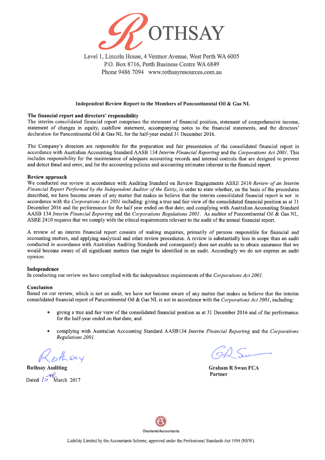

Level 1, Lincoln House, 4 Ventnor Avenue, West Perth WA 6005 P.O. Box 8716, Perth Business Centre WA 6849 Phone 9486 7094 www.rothsayresources.com.au

#### Independent Review Report to the Members of Pancontinental Oil & Gas NL

#### The financial report and directors' responsibility

The interim consolidated financial report comprises the statement of financial position, statement of comprehensive income. statement of changes in equity, cashflow statement, accompanying notes to the financial statements, and the directors' declaration for Pancontinental Oil & Gas NL for the half-year ended 31 December 2016.

The Company's directors are responsible for the preparation and fair presentation of the consolidated financial report in accordance with Australian Accounting Standard AASB 134 Interim Financial Reporting and the Corporations Act 2001. This includes responsibility for the maintenance of adequate accounting records and internal controls that are designed to prevent and detect fraud and error, and for the accounting policies and accounting estimates inherent in the financial report.

#### **Review approach**

We conducted our review in accordance with Auditing Standard on Review Engagements ASRE 2410 Review of an Interim Financial Report Performed by the Independent Auditor of the Entity, in order to state whether, on the basis of the procedures described, we have become aware of any matter that makes us believe that the interim consolidated financial report is not in accordance with the Corporations Act 2001 including; giving a true and fair view of the consolidated financial position as at 31 December 2016 and the performance for the half year ended on that date; and complying with Australian Accounting Standard AASB 134 Interim Financial Reporting and the Corporations Regulations 2001. As auditor of Pancontinental Oil & Gas NL, ASRE 2410 requires that we comply with the ethical requirements relevant to the audit of the annual financial report.

A review of an interim financial report consists of making enquiries, primarily of persons responsible for financial and accounting matters, and applying analytical and other review procedures. A review is substantially less in scope than an audit conducted in accordance with Australian Auditing Standards and consequently does not enable us to obtain assurance that we would become aware of all significant matters that might be identified in an audit. Accordingly we do not express an audit opinion.

#### Independence

In conducting our review we have complied with the independence requirements of the Corporations Act 2001.

#### Conclusion

Based on our review, which is not an audit, we have not become aware of any matter that makes us believe that the interim consolidated financial report of Pancontinental Oil & Gas NL is not in accordance with the Corporations Act 2001, including:

- giving a true and fair view of the consolidated financial position as at 31 December 2016 and of the performance for the half-year ended on that date; and
- complying with Australian Accounting Standard AASB134 Interim Financial Reporting and the Corporations Regulations 2001.

**Rothsay Auditing** Dated  $15\frac{12}{\text{March }2017}$ 

**Graham R Swan FCA** Partner

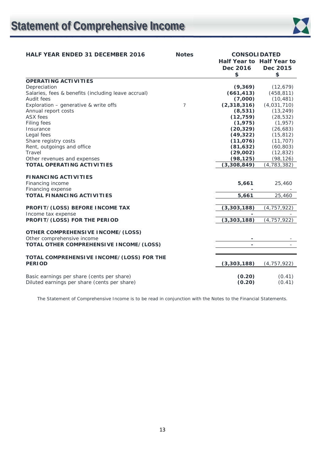# **Statement of Comprehensive Income**



| <b>HALF YEAR ENDED 31 DECEMBER 2016</b>             | <b>Notes</b>   | <b>CONSOLIDATED</b>      |                           |
|-----------------------------------------------------|----------------|--------------------------|---------------------------|
|                                                     |                |                          | Half Year to Half Year to |
|                                                     |                | Dec 2016                 | Dec 2015                  |
|                                                     |                | \$                       | \$                        |
| <b>OPERATING ACTIVITIES</b>                         |                |                          |                           |
| Depreciation                                        |                | (9,369)                  | (12, 679)                 |
| Salaries, fees & benefits (including leave accrual) |                | (661, 413)               | (458, 811)                |
| Audit fees                                          |                | (7,000)                  | (10, 481)                 |
| Exploration - generative & write offs               | $\overline{7}$ | (2,318,316)              | (4,031,710)               |
| Annual report costs                                 |                | (8, 531)                 | (13, 249)                 |
| <b>ASX</b> fees                                     |                | (12, 759)                | (28, 532)                 |
| Filing fees                                         |                | (1, 975)                 | (1, 957)                  |
| Insurance                                           |                | (20, 329)                | (26, 683)                 |
| Legal fees                                          |                | (49, 322)                | (15, 812)                 |
| Share registry costs                                |                | (11,076)                 | (11, 707)                 |
| Rent, outgoings and office                          |                | (81, 632)                | (60, 803)                 |
| Travel                                              |                | (29,002)                 | (12, 832)                 |
| Other revenues and expenses                         |                | (98, 125)                | (98, 126)                 |
| <b>TOTAL OPERATING ACTIVITIES</b>                   |                | (3,308,849)              | (4, 783, 382)             |
|                                                     |                |                          |                           |
| <b>FINANCING ACTIVITIES</b>                         |                |                          |                           |
| Financing income                                    |                | 5,661                    | 25,460                    |
| Financing expense                                   |                |                          |                           |
| <b>TOTAL FINANCING ACTIVITIES</b>                   |                | 5,661                    | 25,460                    |
| PROFIT/(LOSS) BEFORE INCOME TAX                     |                | (3, 303, 188)            | (4, 757, 922)             |
| Income tax expense                                  |                |                          |                           |
| PROFIT/(LOSS) FOR THE PERIOD                        |                | (3, 303, 188)            | (4, 757, 922)             |
|                                                     |                |                          |                           |
| <b>OTHER COMPREHENSIVE INCOME/(LOSS)</b>            |                |                          |                           |
| Other comprehensive income                          |                | -                        |                           |
| TOTAL OTHER COMPREHENSIVE INCOME/(LOSS)             |                | $\overline{\phantom{0}}$ |                           |
|                                                     |                |                          |                           |
| TOTAL COMPREHENSIVE INCOME/(LOSS) FOR THE           |                |                          |                           |
| <b>PERIOD</b>                                       |                | (3,303,188)              | (4, 757, 922)             |
|                                                     |                |                          |                           |
| Basic earnings per share (cents per share)          |                | (0.20)                   | (0.41)                    |
| Diluted earnings per share (cents per share)        |                | (0.20)                   | (0.41)                    |

The Statement of Comprehensive Income is to be read in conjunction with the Notes to the Financial Statements.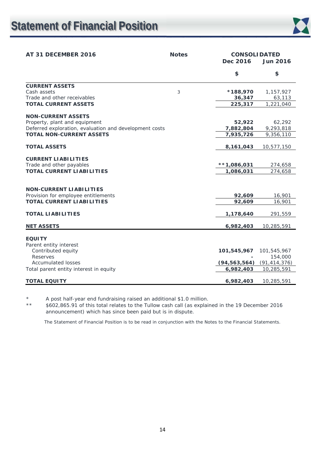

| AT 31 DECEMBER 2016                                    | <b>Notes</b><br>Dec 2016 |                | <b>CONSOLIDATED</b><br><b>Jun 2016</b> |
|--------------------------------------------------------|--------------------------|----------------|----------------------------------------|
|                                                        |                          | \$             | \$                                     |
| <b>CURRENT ASSETS</b>                                  |                          |                |                                        |
| Cash assets                                            | 3                        | *188,970       | 1,157,927                              |
| Trade and other receivables                            |                          | 36,347         | 63,113                                 |
| <b>TOTAL CURRENT ASSETS</b>                            |                          | 225,317        | 1,221,040                              |
| <b>NON-CURRENT ASSETS</b>                              |                          |                |                                        |
| Property, plant and equipment                          |                          | 52,922         | 62,292                                 |
| Deferred exploration, evaluation and development costs |                          | 7,882,804      | 9,293,818                              |
| <b>TOTAL NON-CURRENT ASSETS</b>                        |                          | 7,935,726      | 9,356,110                              |
| <b>TOTAL ASSETS</b>                                    |                          | 8,161,043      | 10,577,150                             |
| <b>CURRENT LIABILITIES</b>                             |                          |                |                                        |
| Trade and other payables                               |                          | $**1,086,031$  | 274,658                                |
| <b>TOTAL CURRENT LIABILITIES</b>                       |                          | 1,086,031      | 274,658                                |
|                                                        |                          |                |                                        |
| <b>NON-CURRENT LIABILITIES</b>                         |                          |                |                                        |
| Provision for employee entitlements                    |                          | 92,609         | 16,901                                 |
| <b>TOTAL CURRENT LIABILITIES</b>                       |                          | 92,609         | 16,901                                 |
| <b>TOTAL LIABILITIES</b>                               |                          | 1,178,640      | 291,559                                |
| <b>NET ASSETS</b>                                      |                          | 6,982,403      | 10,285,591                             |
| <b>EQUITY</b>                                          |                          |                |                                        |
| Parent entity interest                                 |                          |                |                                        |
| Contributed equity                                     |                          | 101,545,967    | 101,545,967                            |
| Reserves                                               |                          |                | 154,000                                |
| <b>Accumulated losses</b>                              |                          | (94, 563, 564) | (91, 414, 376)                         |
| Total parent entity interest in equity                 |                          | 6,982,403      | 10,285,591                             |
| <b>TOTAL EQUITY</b>                                    |                          | 6,982,403      | 10,285,591                             |

\* A post half-year end fundraising raised an additional \$1.0 million.<br>\*\* \$602,865,91 of this total relates to the Tullow cash call (as explain

\*\* \$602,865.91 of this total relates to the Tullow cash call (as explained in the 19 December 2016 announcement) which has since been paid but is in dispute.

The Statement of Financial Position is to be read in conjunction with the Notes to the Financial Statements.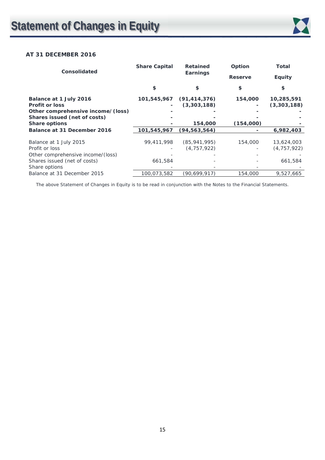

### **AT 31 DECEMBER 2016**

| <b>Consolidated</b>               | <b>Share Capital</b> | <b>Retained</b>          | Option         | <b>Total</b>  |
|-----------------------------------|----------------------|--------------------------|----------------|---------------|
|                                   |                      | Earnings                 | <b>Reserve</b> | <b>Equity</b> |
|                                   | \$                   | \$                       | \$             | \$            |
| Balance at 1 July 2016            |                      | 101,545,967 (91,414,376) | 154,000        | 10,285,591    |
| <b>Profit or loss</b>             |                      | (3,303,188)              |                | (3,303,188)   |
| Other comprehensive income/(loss) |                      |                          |                |               |
| Shares issued (net of costs)      |                      |                          |                |               |
| <b>Share options</b>              |                      | 154,000                  | (154,000)      |               |
| Balance at 31 December 2016       | 101,545,967          | (94, 563, 564)           |                | 6,982,403     |
|                                   |                      |                          |                |               |
| Balance at 1 July 2015            | 99,411,998           | (85, 941, 995)           | 154,000        | 13,624,003    |
| Profit or loss                    |                      | (4, 757, 922)            |                | (4, 757, 922) |
| Other comprehensive income/(loss) |                      |                          |                |               |
| Shares issued (net of costs)      | 661,584              |                          |                | 661,584       |
| Share options                     |                      |                          |                |               |
| Balance at 31 December 2015       | 100,073,582          | (90,699,917)             | 154,000        | 9,527,665     |

The above Statement of Changes in Equity is to be read in conjunction with the Notes to the Financial Statements.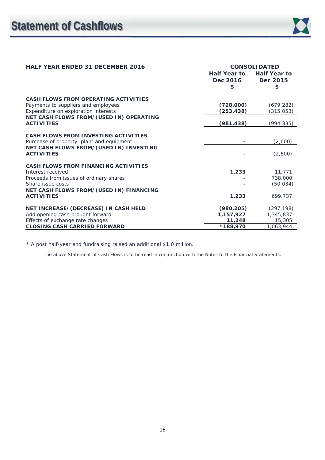| <b>HALF YEAR ENDED 31 DECEMBER 2016</b>                                                                             | <b>CONSOLIDATED</b><br><b>Half Year to</b><br><b>Half Year to</b> |                          |  |
|---------------------------------------------------------------------------------------------------------------------|-------------------------------------------------------------------|--------------------------|--|
|                                                                                                                     | Dec 2016<br>\$                                                    | Dec 2015<br>\$           |  |
| CASH FLOWS FROM OPERATING ACTIVITIES<br>Payments to suppliers and employees<br>Expenditure on exploration interests | (728,000)<br>(253,438)                                            | (679, 282)<br>(315, 053) |  |
| NET CASH FLOWS FROM/(USED IN) OPERATING<br><b>ACTIVITIES</b>                                                        | (981, 438)                                                        | (994, 335)               |  |
| <b>CASH FLOWS FROM INVESTING ACTIVITIES</b><br>Purchase of property, plant and equipment                            |                                                                   | (2,600)                  |  |
| NET CASH FLOWS FROM/(USED IN) INVESTING<br><b>ACTIVITIES</b>                                                        |                                                                   | (2,600)                  |  |
| <b>CASH FLOWS FROM FINANCING ACTIVITIES</b>                                                                         |                                                                   |                          |  |
| Interest received                                                                                                   | 1,233                                                             | 11,771                   |  |
| Proceeds from issues of ordinary shares                                                                             |                                                                   | 738,000                  |  |
| Share issue costs                                                                                                   |                                                                   | (50,034)                 |  |
| NET CASH FLOWS FROM/(USED IN) FINANCING<br><b>ACTIVITIES</b>                                                        | 1,233                                                             | 699,737                  |  |
| NET INCREASE/(DECREASE) IN CASH HELD                                                                                | (980, 205)                                                        | (297, 198)               |  |
| Add opening cash brought forward                                                                                    | 1,157,927                                                         | 1,345,837                |  |
| Effects of exchange rate changes                                                                                    | 11,248                                                            | 15,305                   |  |
| <b>CLOSING CASH CARRIED FORWARD</b>                                                                                 | *188,970                                                          | 1,063,944                |  |

\* A post half-year end fundraising raised an additional \$1.0 million.

The above Statement of Cash Flows is to be read in conjunction with the Notes to the Financial Statements.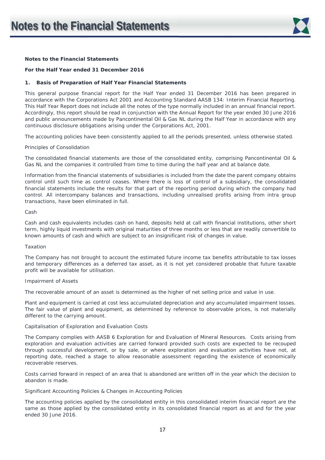

#### **For the Half Year ended 31 December 2016**

#### **1. Basis of Preparation of Half Year Financial Statements**

This general purpose financial report for the Half Year ended 31 December 2016 has been prepared in accordance with the Corporations Act 2001 and Accounting Standard AASB 134: Interim Financial Reporting. This Half Year Report does not include all the notes of the type normally included in an annual financial report. Accordingly, this report should be read in conjunction with the Annual Report for the year ended 30 June 2016 and public announcements made by Pancontinental Oil & Gas NL during the Half Year in accordance with any continuous disclosure obligations arising under the Corporations Act, 2001.

The accounting policies have been consistently applied to all the periods presented, unless otherwise stated.

#### *Principles of Consolidation*

The consolidated financial statements are those of the consolidated entity, comprising Pancontinental Oil & Gas NL and the companies it controlled from time to time during the half year and at balance date.

Information from the financial statements of subsidiaries is included from the date the parent company obtains control until such time as control ceases. Where there is loss of control of a subsidiary, the consolidated financial statements include the results for that part of the reporting period during which the company had control. All intercompany balances and transactions, including unrealised profits arising from intra group transactions, have been eliminated in full.

#### *Cash*

Cash and cash equivalents includes cash on hand, deposits held at call with financial institutions, other short term, highly liquid investments with original maturities of three months or less that are readily convertible to known amounts of cash and which are subject to an insignificant risk of changes in value.

#### *Taxation*

The Company has not brought to account the estimated future income tax benefits attributable to tax losses and temporary differences as a deferred tax asset, as it is not yet considered probable that future taxable profit will be available for utilisation.

#### *Impairment of Assets*

The recoverable amount of an asset is determined as the higher of net selling price and value in use.

Plant and equipment is carried at cost less accumulated depreciation and any accumulated impairment losses. The fair value of plant and equipment, as determined by reference to observable prices, is not materially different to the carrying amount.

#### *Capitalisation of Exploration and Evaluation Costs*

The Company complies with AASB 6 *Exploration for and Evaluation of Mineral Resources*. Costs arising from exploration and evaluation activities are carried forward provided such costs are expected to be recouped through successful development, or by sale, or where exploration and evaluation activities have not, at reporting date, reached a stage to allow reasonable assessment regarding the existence of economically recoverable reserves.

Costs carried forward in respect of an area that is abandoned are written off in the year which the decision to abandon is made.

#### *Significant Accounting Policies & Changes in Accounting Policies*

The accounting policies applied by the consolidated entity in this consolidated interim financial report are the same as those applied by the consolidated entity in its consolidated financial report as at and for the year ended 30 June 2016.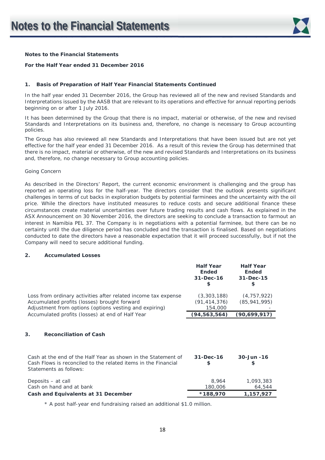

#### **For the Half Year ended 31 December 2016**

#### **1. Basis of Preparation of Half Year Financial Statements Continued**

In the half year ended 31 December 2016, the Group has reviewed all of the new and revised Standards and Interpretations issued by the AASB that are relevant to its operations and effective for annual reporting periods beginning on or after 1 July 2016.

It has been determined by the Group that there is no impact, material or otherwise, of the new and revised Standards and Interpretations on its business and, therefore, no change is necessary to Group accounting policies.

The Group has also reviewed all new Standards and Interpretations that have been issued but are not yet effective for the half year ended 31 December 2016. As a result of this review the Group has determined that there is no impact, material or otherwise, of the new and revised Standards and Interpretations on its business and, therefore, no change necessary to Group accounting policies.

#### *Going Concern*

As described in the Directors' Report, the current economic environment is challenging and the group has reported an operating loss for the half-year. The directors consider that the outlook presents significant challenges in terms of cut backs in exploration budgets by potential farminees and the uncertainty with the oil price. While the directors have instituted measures to reduce costs and secure additional finance these circumstances create material uncertainties over future trading results and cash flows. As explained in the ASX Announcement on 30 November 2016, the directors are seeking to conclude a transaction to farmout an interest in Namibia PEL 37. The Company is in negotiations with a potential farminee, but there can be no certainty until the due diligence period has concluded and the transaction is finalised. Based on negotiations conducted to date the directors have a reasonable expectation that it will proceed successfully, but if not the Company will need to secure additional funding.

#### **2. Accumulated Losses**

|                                                                                                                                                                          | <b>Half Year</b><br><b>Ended</b><br>$31 - Dec - 16$<br>S | <b>Half Year</b><br><b>Ended</b><br>31-Dec-15<br>S |
|--------------------------------------------------------------------------------------------------------------------------------------------------------------------------|----------------------------------------------------------|----------------------------------------------------|
| Loss from ordinary activities after related income tax expense<br>Accumulated profits (losses) brought forward<br>Adjustment from options (options vesting and expiring) | (3,303,188)<br>(91, 414, 376)<br>154,000                 | (4, 757, 922)<br>(85, 941, 995)                    |
| Accumulated profits (losses) at end of Half Year                                                                                                                         | (94, 563, 564)                                           | (90,699,917)                                       |
| 3.<br><b>Reconciliation of Cash</b>                                                                                                                                      |                                                          |                                                    |
| Cash at the end of the Half Year as shown in the Statement of<br>Cash Flows is reconciled to the related items in the Financial<br>Statements as follows:                | $31 - Dec-16$<br>\$                                      | $30 - Jun - 16$<br>\$                              |
| Deposits – at call<br>Cash on hand and at bank                                                                                                                           | 8,964<br>180,006                                         | 1,093,383<br>64,544                                |
| Cash and Equivalents at 31 December                                                                                                                                      | *188,970                                                 | 1,157,927                                          |

\* A post half-year end fundraising raised an additional \$1.0 million.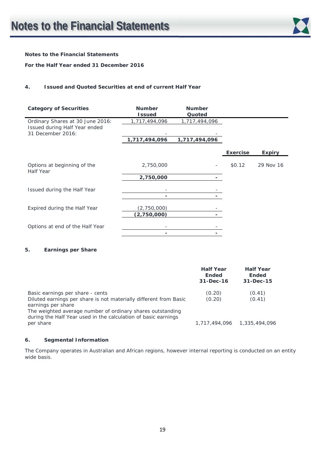

#### **For the Half Year ended 31 December 2016**

#### **4. Issued and Quoted Securities at end of current Half Year**

| <b>Category of Securities</b>                      | <b>Number</b><br><b>Issued</b> | <b>Number</b><br>Quoted |                 |               |
|----------------------------------------------------|--------------------------------|-------------------------|-----------------|---------------|
| Ordinary Shares at 30 June 2016:                   | 1,717,494,096                  | 1,717,494,096           |                 |               |
| Issued during Half Year ended<br>31 December 2016: |                                |                         |                 |               |
|                                                    | 1,717,494,096                  | 1,717,494,096           |                 |               |
|                                                    |                                |                         | <b>Exercise</b> | <b>Expiry</b> |
| Options at beginning of the                        | 2,750,000                      |                         | \$0.12          | 29 Nov 16     |
| Half Year                                          | 2,750,000                      |                         |                 |               |
| Issued during the Half Year                        |                                |                         |                 |               |
|                                                    |                                |                         |                 |               |
| Expired during the Half Year                       | (2,750,000)                    |                         |                 |               |
|                                                    | (2,750,000)                    |                         |                 |               |
| Options at end of the Half Year                    |                                |                         |                 |               |
|                                                    |                                |                         |                 |               |

#### **5. Earnings per Share**

|                                                                                                                                                                                                                                                             | <b>Half Year</b><br><b>Ended</b><br>31-Dec-16 | <b>Half Year</b><br><b>Ended</b><br>31-Dec-15 |
|-------------------------------------------------------------------------------------------------------------------------------------------------------------------------------------------------------------------------------------------------------------|-----------------------------------------------|-----------------------------------------------|
| Basic earnings per share - cents<br>Diluted earnings per share is not materially different from Basic<br>earnings per share<br>The weighted average number of ordinary shares outstanding<br>during the Half Year used in the calculation of basic earnings | (0.20)<br>(0.20)                              | (0.41)<br>(0.41)                              |
| per share                                                                                                                                                                                                                                                   |                                               |                                               |

#### **6. Segmental Information**

The Company operates in Australian and African regions, however internal reporting is conducted on an entity wide basis.